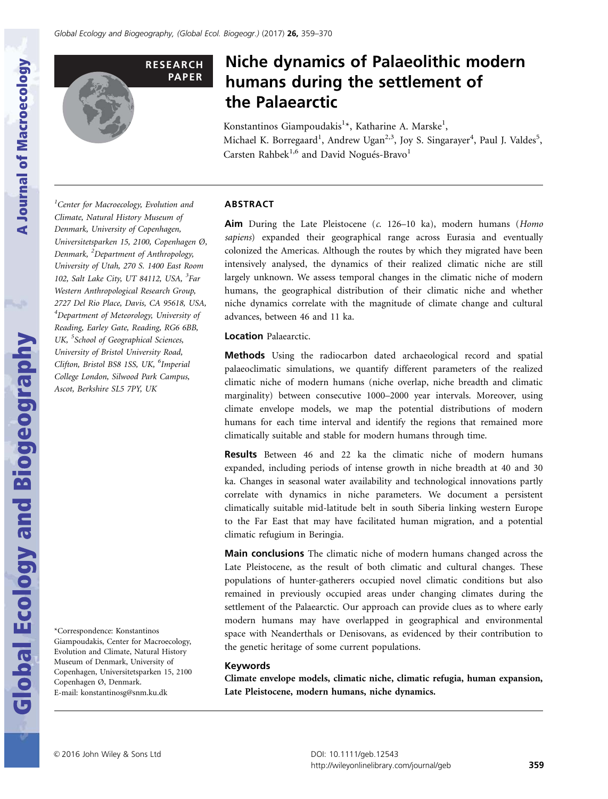

# Niche dynamics of Palaeolithic modern humans during the settlement of the Palaearctic

Konstantinos Giampoudakis<sup>1</sup>\*, Katharine A. Marske<sup>1</sup>, Michael K. Borregaard<sup>1</sup>, Andrew Ugan<sup>2,3</sup>, Joy S. Singarayer<sup>4</sup>, Paul J. Valdes<sup>5</sup>, Carsten Rahbek<sup>1,6</sup> and David Nogués-Bravo<sup>1</sup>

# ABSTRACT

Aim During the Late Pleistocene (c. 126-10 ka), modern humans (Homo sapiens) expanded their geographical range across Eurasia and eventually colonized the Americas. Although the routes by which they migrated have been intensively analysed, the dynamics of their realized climatic niche are still largely unknown. We assess temporal changes in the climatic niche of modern humans, the geographical distribution of their climatic niche and whether niche dynamics correlate with the magnitude of climate change and cultural advances, between 46 and 11 ka.

## Location Palaearctic.

**Methods** Using the radiocarbon dated archaeological record and spatial palaeoclimatic simulations, we quantify different parameters of the realized climatic niche of modern humans (niche overlap, niche breadth and climatic marginality) between consecutive 1000–2000 year intervals. Moreover, using climate envelope models, we map the potential distributions of modern humans for each time interval and identify the regions that remained more climatically suitable and stable for modern humans through time.

Results Between 46 and 22 ka the climatic niche of modern humans expanded, including periods of intense growth in niche breadth at 40 and 30 ka. Changes in seasonal water availability and technological innovations partly correlate with dynamics in niche parameters. We document a persistent climatically suitable mid-latitude belt in south Siberia linking western Europe to the Far East that may have facilitated human migration, and a potential climatic refugium in Beringia.

Main conclusions The climatic niche of modern humans changed across the Late Pleistocene, as the result of both climatic and cultural changes. These populations of hunter-gatherers occupied novel climatic conditions but also remained in previously occupied areas under changing climates during the settlement of the Palaearctic. Our approach can provide clues as to where early modern humans may have overlapped in geographical and environmental space with Neanderthals or Denisovans, as evidenced by their contribution to the genetic heritage of some current populations.

## Keywords

Climate envelope models, climatic niche, climatic refugia, human expansion, Late Pleistocene, modern humans, niche dynamics.

**Global Ecology and Biogeography** 

<sup>1</sup>Center for Macroecology, Evolution and Climate, Natural History Museum of Denmark, University of Copenhagen, Universitetsparken 15, 2100, Copenhagen Ø, Denmark, <sup>2</sup>Department of Anthropology, University of Utah, 270 S. 1400 East Room 102, Salt Lake City, UT 84112, USA, <sup>3</sup>Far Western Anthropological Research Group, 2727 Del Rio Place, Davis, CA 95618, USA, 4 Department of Meteorology, University of Reading, Earley Gate, Reading, RG6 6BB, UK, <sup>5</sup>School of Geographical Sciences, University of Bristol University Road, Clifton, Bristol BS8 1SS, UK, <sup>6</sup>Imperial College London, Silwood Park Campus, Ascot, Berkshire SL5 7PY, UK

\*Correspondence: Konstantinos Giampoudakis, Center for Macroecology, Evolution and Climate, Natural History Museum of Denmark, University of Copenhagen, Universitetsparken 15, 2100 Copenhagen Ø, Denmark. E-mail: konstantinosg@snm.ku.dk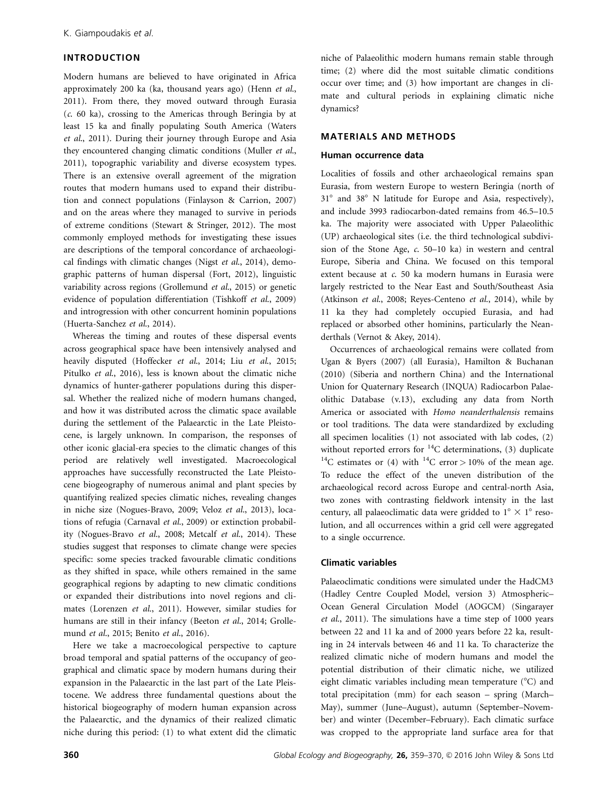## INTRODUCTION

Modern humans are believed to have originated in Africa approximately 200 ka (ka, thousand years ago) (Henn et al., 2011). From there, they moved outward through Eurasia  $(c, 60 \text{ ka})$ , crossing to the Americas through Beringia by at least 15 ka and finally populating South America (Waters et al., 2011). During their journey through Europe and Asia they encountered changing climatic conditions (Muller et al., 2011), topographic variability and diverse ecosystem types. There is an extensive overall agreement of the migration routes that modern humans used to expand their distribution and connect populations (Finlayson & Carrion, 2007) and on the areas where they managed to survive in periods of extreme conditions (Stewart & Stringer, 2012). The most commonly employed methods for investigating these issues are descriptions of the temporal concordance of archaeological findings with climatic changes (Nigst et al., 2014), demographic patterns of human dispersal (Fort, 2012), linguistic variability across regions (Grollemund et al., 2015) or genetic evidence of population differentiation (Tishkoff et al., 2009) and introgression with other concurrent hominin populations (Huerta-Sanchez et al., 2014).

Whereas the timing and routes of these dispersal events across geographical space have been intensively analysed and heavily disputed (Hoffecker et al., 2014; Liu et al., 2015; Pitulko et al., 2016), less is known about the climatic niche dynamics of hunter-gatherer populations during this dispersal. Whether the realized niche of modern humans changed, and how it was distributed across the climatic space available during the settlement of the Palaearctic in the Late Pleistocene, is largely unknown. In comparison, the responses of other iconic glacial-era species to the climatic changes of this period are relatively well investigated. Macroecological approaches have successfully reconstructed the Late Pleistocene biogeography of numerous animal and plant species by quantifying realized species climatic niches, revealing changes in niche size (Nogues-Bravo, 2009; Veloz et al., 2013), locations of refugia (Carnaval et al., 2009) or extinction probability (Nogues-Bravo et al., 2008; Metcalf et al., 2014). These studies suggest that responses to climate change were species specific: some species tracked favourable climatic conditions as they shifted in space, while others remained in the same geographical regions by adapting to new climatic conditions or expanded their distributions into novel regions and climates (Lorenzen et al., 2011). However, similar studies for humans are still in their infancy (Beeton et al., 2014; Grollemund et al., 2015; Benito et al., 2016).

Here we take a macroecological perspective to capture broad temporal and spatial patterns of the occupancy of geographical and climatic space by modern humans during their expansion in the Palaearctic in the last part of the Late Pleistocene. We address three fundamental questions about the historical biogeography of modern human expansion across the Palaearctic, and the dynamics of their realized climatic niche during this period: (1) to what extent did the climatic niche of Palaeolithic modern humans remain stable through time; (2) where did the most suitable climatic conditions occur over time; and (3) how important are changes in climate and cultural periods in explaining climatic niche dynamics?

## MATERIALS AND METHODS

#### Human occurrence data

Localities of fossils and other archaeological remains span Eurasia, from western Europe to western Beringia (north of 31° and 38° N latitude for Europe and Asia, respectively), and include 3993 radiocarbon-dated remains from 46.5–10.5 ka. The majority were associated with Upper Palaeolithic (UP) archaeological sites (i.e. the third technological subdivision of the Stone Age, c. 50–10 ka) in western and central Europe, Siberia and China. We focused on this temporal extent because at c. 50 ka modern humans in Eurasia were largely restricted to the Near East and South/Southeast Asia (Atkinson et al., 2008; Reyes-Centeno et al., 2014), while by 11 ka they had completely occupied Eurasia, and had replaced or absorbed other hominins, particularly the Neanderthals (Vernot & Akey, 2014).

Occurrences of archaeological remains were collated from Ugan & Byers (2007) (all Eurasia), Hamilton & Buchanan (2010) (Siberia and northern China) and the International Union for Quaternary Research (INQUA) Radiocarbon Palaeolithic Database (v.13), excluding any data from North America or associated with Homo neanderthalensis remains or tool traditions. The data were standardized by excluding all specimen localities (1) not associated with lab codes, (2) without reported errors for  ${}^{14}C$  determinations, (3) duplicate <sup>14</sup>C estimates or (4) with <sup>14</sup>C error > 10% of the mean age. To reduce the effect of the uneven distribution of the archaeological record across Europe and central-north Asia, two zones with contrasting fieldwork intensity in the last century, all palaeoclimatic data were gridded to  $1^{\circ} \times 1^{\circ}$  resolution, and all occurrences within a grid cell were aggregated to a single occurrence.

## Climatic variables

Palaeoclimatic conditions were simulated under the HadCM3 (Hadley Centre Coupled Model, version 3) Atmospheric– Ocean General Circulation Model (AOGCM) (Singarayer et al., 2011). The simulations have a time step of 1000 years between 22 and 11 ka and of 2000 years before 22 ka, resulting in 24 intervals between 46 and 11 ka. To characterize the realized climatic niche of modern humans and model the potential distribution of their climatic niche, we utilized eight climatic variables including mean temperature  $(^\circ C)$  and total precipitation (mm) for each season – spring (March– May), summer (June–August), autumn (September–November) and winter (December–February). Each climatic surface was cropped to the appropriate land surface area for that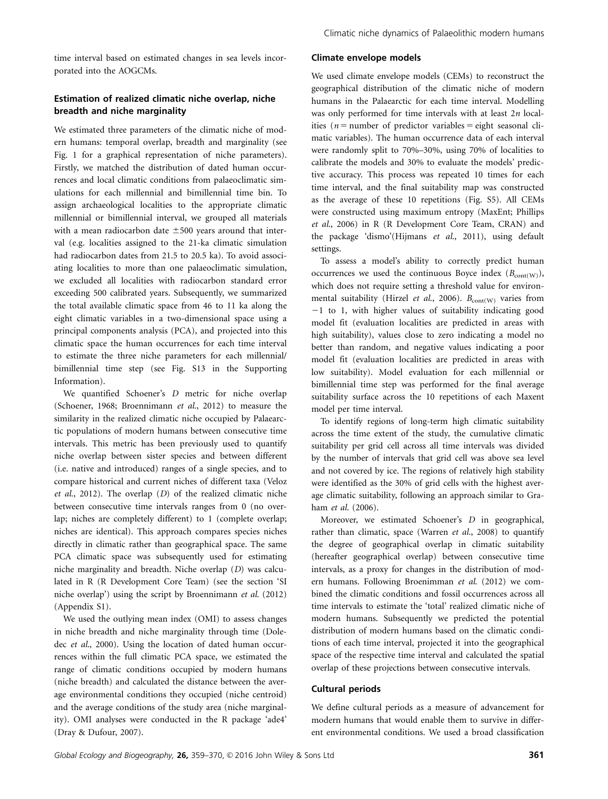time interval based on estimated changes in sea levels incorporated into the AOGCMs.

# Estimation of realized climatic niche overlap, niche breadth and niche marginality

We estimated three parameters of the climatic niche of modern humans: temporal overlap, breadth and marginality (see Fig. 1 for a graphical representation of niche parameters). Firstly, we matched the distribution of dated human occurrences and local climatic conditions from palaeoclimatic simulations for each millennial and bimillennial time bin. To assign archaeological localities to the appropriate climatic millennial or bimillennial interval, we grouped all materials with a mean radiocarbon date  $\pm 500$  years around that interval (e.g. localities assigned to the 21-ka climatic simulation had radiocarbon dates from 21.5 to 20.5 ka). To avoid associating localities to more than one palaeoclimatic simulation, we excluded all localities with radiocarbon standard error exceeding 500 calibrated years. Subsequently, we summarized the total available climatic space from 46 to 11 ka along the eight climatic variables in a two-dimensional space using a principal components analysis (PCA), and projected into this climatic space the human occurrences for each time interval to estimate the three niche parameters for each millennial/ bimillennial time step (see Fig. S13 in the Supporting Information).

We quantified Schoener's D metric for niche overlap (Schoener, 1968; Broennimann et al., 2012) to measure the similarity in the realized climatic niche occupied by Palaearctic populations of modern humans between consecutive time intervals. This metric has been previously used to quantify niche overlap between sister species and between different (i.e. native and introduced) ranges of a single species, and to compare historical and current niches of different taxa (Veloz et al., 2012). The overlap  $(D)$  of the realized climatic niche between consecutive time intervals ranges from 0 (no overlap; niches are completely different) to 1 (complete overlap; niches are identical). This approach compares species niches directly in climatic rather than geographical space. The same PCA climatic space was subsequently used for estimating niche marginality and breadth. Niche overlap (D) was calculated in R (R Development Core Team) (see the section 'SI niche overlap') using the script by Broennimann et al. (2012) (Appendix S1).

We used the outlying mean index (OMI) to assess changes in niche breadth and niche marginality through time (Doledec et al., 2000). Using the location of dated human occurrences within the full climatic PCA space, we estimated the range of climatic conditions occupied by modern humans (niche breadth) and calculated the distance between the average environmental conditions they occupied (niche centroid) and the average conditions of the study area (niche marginality). OMI analyses were conducted in the R package 'ade4' (Dray & Dufour, 2007).

#### Climate envelope models

We used climate envelope models (CEMs) to reconstruct the geographical distribution of the climatic niche of modern humans in the Palaearctic for each time interval. Modelling was only performed for time intervals with at least  $2n$  localities ( $n =$  number of predictor variables = eight seasonal climatic variables). The human occurrence data of each interval were randomly split to 70%–30%, using 70% of localities to calibrate the models and 30% to evaluate the models' predictive accuracy. This process was repeated 10 times for each time interval, and the final suitability map was constructed as the average of these 10 repetitions (Fig. S5). All CEMs were constructed using maximum entropy (MaxEnt; Phillips et al., 2006) in R (R Development Core Team, CRAN) and the package 'dismo'(Hijmans et al., 2011), using default settings.

To assess a model's ability to correctly predict human occurrences we used the continuous Boyce index  $(B_{\text{cont(W)}})$ , which does not require setting a threshold value for environmental suitability (Hirzel et al., 2006).  $B_{\text{cont}(W)}$  varies from  $-1$  to 1, with higher values of suitability indicating good model fit (evaluation localities are predicted in areas with high suitability), values close to zero indicating a model no better than random, and negative values indicating a poor model fit (evaluation localities are predicted in areas with low suitability). Model evaluation for each millennial or bimillennial time step was performed for the final average suitability surface across the 10 repetitions of each Maxent model per time interval.

To identify regions of long-term high climatic suitability across the time extent of the study, the cumulative climatic suitability per grid cell across all time intervals was divided by the number of intervals that grid cell was above sea level and not covered by ice. The regions of relatively high stability were identified as the 30% of grid cells with the highest average climatic suitability, following an approach similar to Graham et al. (2006).

Moreover, we estimated Schoener's D in geographical, rather than climatic, space (Warren  $et$   $al$ , 2008) to quantify the degree of geographical overlap in climatic suitability (hereafter geographical overlap) between consecutive time intervals, as a proxy for changes in the distribution of modern humans. Following Broenimman et al. (2012) we combined the climatic conditions and fossil occurrences across all time intervals to estimate the 'total' realized climatic niche of modern humans. Subsequently we predicted the potential distribution of modern humans based on the climatic conditions of each time interval, projected it into the geographical space of the respective time interval and calculated the spatial overlap of these projections between consecutive intervals.

#### Cultural periods

We define cultural periods as a measure of advancement for modern humans that would enable them to survive in different environmental conditions. We used a broad classification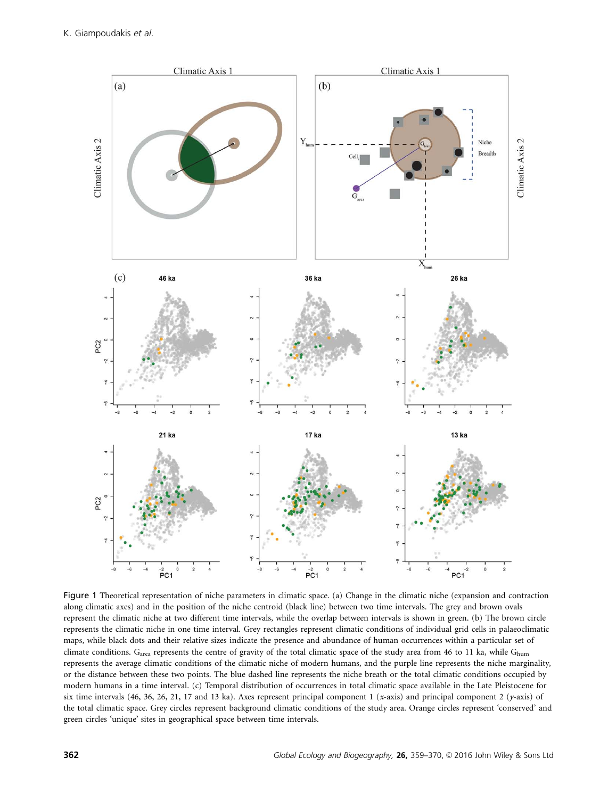

Figure 1 Theoretical representation of niche parameters in climatic space. (a) Change in the climatic niche (expansion and contraction along climatic axes) and in the position of the niche centroid (black line) between two time intervals. The grey and brown ovals represent the climatic niche at two different time intervals, while the overlap between intervals is shown in green. (b) The brown circle represents the climatic niche in one time interval. Grey rectangles represent climatic conditions of individual grid cells in palaeoclimatic maps, while black dots and their relative sizes indicate the presence and abundance of human occurrences within a particular set of climate conditions.  $G_{area}$  represents the centre of gravity of the total climatic space of the study area from 46 to 11 ka, while  $G_{\text{hum}}$ represents the average climatic conditions of the climatic niche of modern humans, and the purple line represents the niche marginality, or the distance between these two points. The blue dashed line represents the niche breath or the total climatic conditions occupied by modern humans in a time interval. (c) Temporal distribution of occurrences in total climatic space available in the Late Pleistocene for six time intervals (46, 36, 26, 21, 17 and 13 ka). Axes represent principal component 1 (x-axis) and principal component 2 (y-axis) of the total climatic space. Grey circles represent background climatic conditions of the study area. Orange circles represent 'conserved' and green circles 'unique' sites in geographical space between time intervals.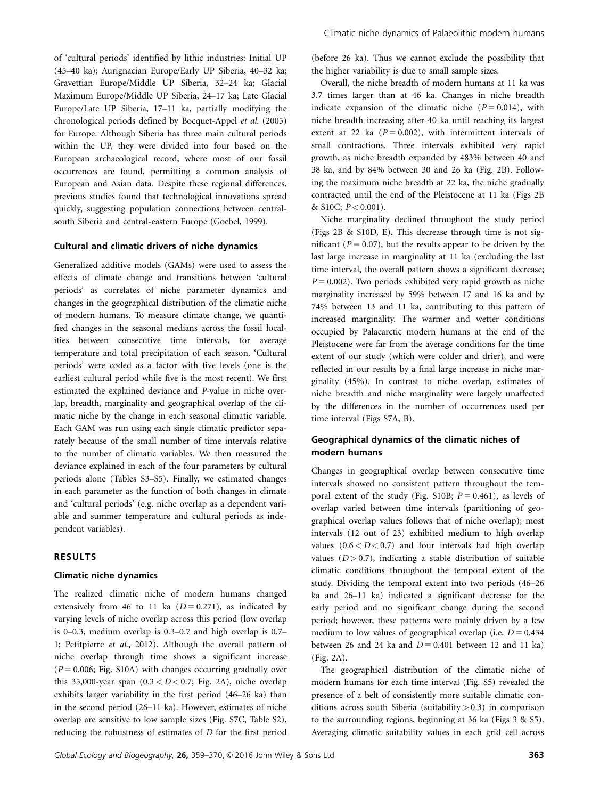of 'cultural periods' identified by lithic industries: Initial UP (45–40 ka); Aurignacian Europe/Early UP Siberia, 40–32 ka; Gravettian Europe/Middle UP Siberia, 32–24 ka; Glacial Maximum Europe/Middle UP Siberia, 24–17 ka; Late Glacial Europe/Late UP Siberia, 17–11 ka, partially modifying the chronological periods defined by Bocquet-Appel et al. (2005) for Europe. Although Siberia has three main cultural periods within the UP, they were divided into four based on the European archaeological record, where most of our fossil occurrences are found, permitting a common analysis of European and Asian data. Despite these regional differences, previous studies found that technological innovations spread quickly, suggesting population connections between centralsouth Siberia and central-eastern Europe (Goebel, 1999).

#### Cultural and climatic drivers of niche dynamics

Generalized additive models (GAMs) were used to assess the effects of climate change and transitions between 'cultural periods' as correlates of niche parameter dynamics and changes in the geographical distribution of the climatic niche of modern humans. To measure climate change, we quantified changes in the seasonal medians across the fossil localities between consecutive time intervals, for average temperature and total precipitation of each season. 'Cultural periods' were coded as a factor with five levels (one is the earliest cultural period while five is the most recent). We first estimated the explained deviance and P-value in niche overlap, breadth, marginality and geographical overlap of the climatic niche by the change in each seasonal climatic variable. Each GAM was run using each single climatic predictor separately because of the small number of time intervals relative to the number of climatic variables. We then measured the deviance explained in each of the four parameters by cultural periods alone (Tables S3–S5). Finally, we estimated changes in each parameter as the function of both changes in climate and 'cultural periods' (e.g. niche overlap as a dependent variable and summer temperature and cultural periods as independent variables).

## RESULTS

#### Climatic niche dynamics

The realized climatic niche of modern humans changed extensively from 46 to 11 ka  $(D = 0.271)$ , as indicated by varying levels of niche overlap across this period (low overlap is 0–0.3, medium overlap is 0.3–0.7 and high overlap is 0.7– 1; Petitpierre et al., 2012). Although the overall pattern of niche overlap through time shows a significant increase  $(P = 0.006;$  Fig. S10A) with changes occurring gradually over this 35,000-year span  $(0.3 < D < 0.7$ ; Fig. 2A), niche overlap exhibits larger variability in the first period (46–26 ka) than in the second period (26–11 ka). However, estimates of niche overlap are sensitive to low sample sizes (Fig. S7C, Table S2), reducing the robustness of estimates of D for the first period (before 26 ka). Thus we cannot exclude the possibility that the higher variability is due to small sample sizes.

Overall, the niche breadth of modern humans at 11 ka was 3.7 times larger than at 46 ka. Changes in niche breadth indicate expansion of the climatic niche ( $P = 0.014$ ), with niche breadth increasing after 40 ka until reaching its largest extent at 22 ka  $(P = 0.002)$ , with intermittent intervals of small contractions. Three intervals exhibited very rapid growth, as niche breadth expanded by 483% between 40 and 38 ka, and by 84% between 30 and 26 ka (Fig. 2B). Following the maximum niche breadth at 22 ka, the niche gradually contracted until the end of the Pleistocene at 11 ka (Figs 2B & S10C;  $P < 0.001$ ).

Niche marginality declined throughout the study period (Figs 2B & S10D, E). This decrease through time is not significant ( $P = 0.07$ ), but the results appear to be driven by the last large increase in marginality at 11 ka (excluding the last time interval, the overall pattern shows a significant decrease;  $P = 0.002$ ). Two periods exhibited very rapid growth as niche marginality increased by 59% between 17 and 16 ka and by 74% between 13 and 11 ka, contributing to this pattern of increased marginality. The warmer and wetter conditions occupied by Palaearctic modern humans at the end of the Pleistocene were far from the average conditions for the time extent of our study (which were colder and drier), and were reflected in our results by a final large increase in niche marginality (45%). In contrast to niche overlap, estimates of niche breadth and niche marginality were largely unaffected by the differences in the number of occurrences used per time interval (Figs S7A, B).

# Geographical dynamics of the climatic niches of modern humans

Changes in geographical overlap between consecutive time intervals showed no consistent pattern throughout the temporal extent of the study (Fig. S10B;  $P = 0.461$ ), as levels of overlap varied between time intervals (partitioning of geographical overlap values follows that of niche overlap); most intervals (12 out of 23) exhibited medium to high overlap values  $(0.6 < D < 0.7)$  and four intervals had high overlap values  $(D > 0.7)$ , indicating a stable distribution of suitable climatic conditions throughout the temporal extent of the study. Dividing the temporal extent into two periods (46–26 ka and 26–11 ka) indicated a significant decrease for the early period and no significant change during the second period; however, these patterns were mainly driven by a few medium to low values of geographical overlap (i.e.  $D = 0.434$ between 26 and 24 ka and  $D = 0.401$  between 12 and 11 ka) (Fig. 2A).

The geographical distribution of the climatic niche of modern humans for each time interval (Fig. S5) revealed the presence of a belt of consistently more suitable climatic conditions across south Siberia (suitability  $> 0.3$ ) in comparison to the surrounding regions, beginning at 36 ka (Figs 3 & S5). Averaging climatic suitability values in each grid cell across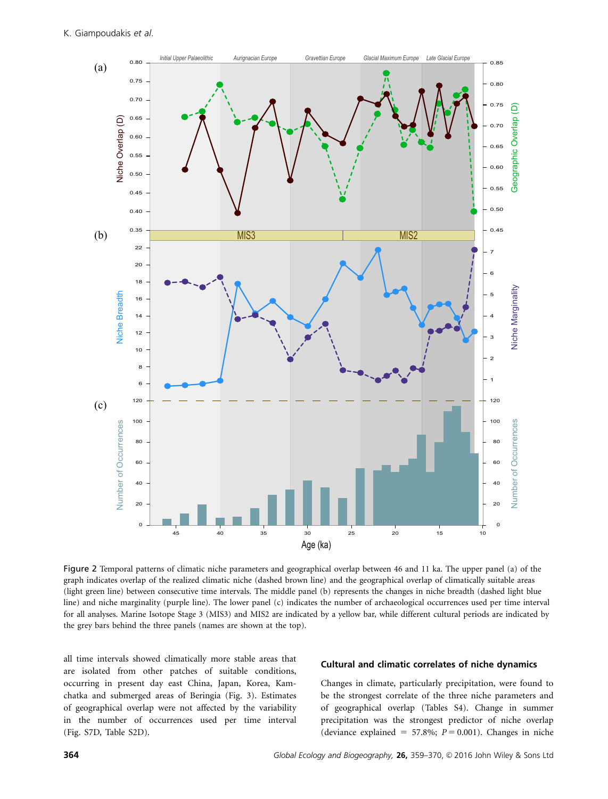

Figure 2 Temporal patterns of climatic niche parameters and geographical overlap between 46 and 11 ka. The upper panel (a) of the graph indicates overlap of the realized climatic niche (dashed brown line) and the geographical overlap of climatically suitable areas (light green line) between consecutive time intervals. The middle panel (b) represents the changes in niche breadth (dashed light blue line) and niche marginality (purple line). The lower panel (c) indicates the number of archaeological occurrences used per time interval for all analyses. Marine Isotope Stage 3 (MIS3) and MIS2 are indicated by a yellow bar, while different cultural periods are indicated by the grey bars behind the three panels (names are shown at the top).

all time intervals showed climatically more stable areas that are isolated from other patches of suitable conditions, occurring in present day east China, Japan, Korea, Kamchatka and submerged areas of Beringia (Fig. 3). Estimates of geographical overlap were not affected by the variability in the number of occurrences used per time interval (Fig. S7D, Table S2D).

## Cultural and climatic correlates of niche dynamics

Changes in climate, particularly precipitation, were found to be the strongest correlate of the three niche parameters and of geographical overlap (Tables S4). Change in summer precipitation was the strongest predictor of niche overlap (deviance explained = 57.8%;  $P = 0.001$ ). Changes in niche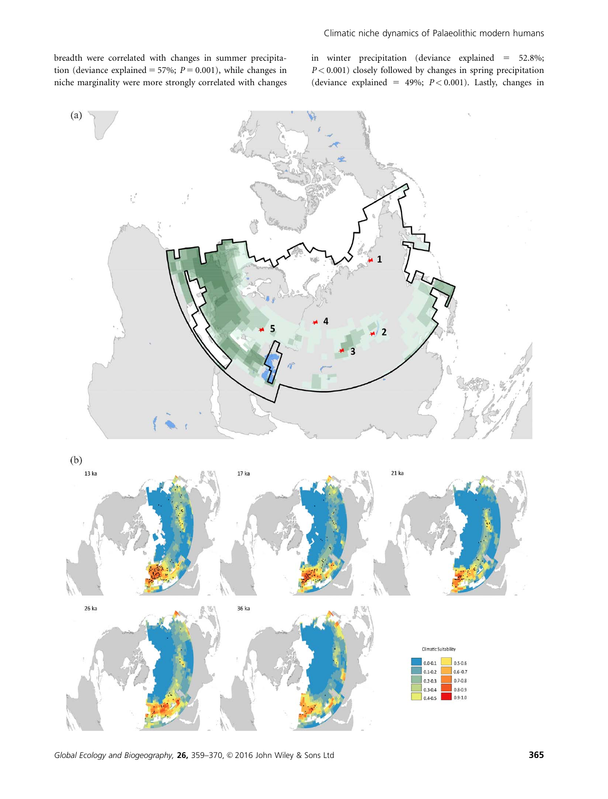breadth were correlated with changes in summer precipitation (deviance explained = 57%;  $P = 0.001$ ), while changes in niche marginality were more strongly correlated with changes in winter precipitation (deviance explained  $= 52.8\%$ ;  $P < 0.001$ ) closely followed by changes in spring precipitation (deviance explained = 49%;  $P < 0.001$ ). Lastly, changes in



Global Ecology and Biogeography, 26, 359-370,  $\odot$  2016 John Wiley & Sons Ltd 365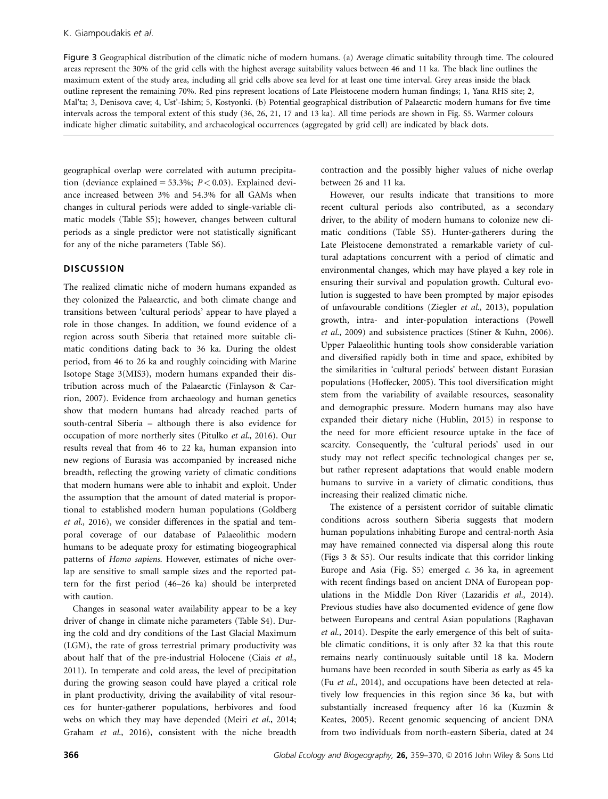Figure 3 Geographical distribution of the climatic niche of modern humans. (a) Average climatic suitability through time. The coloured areas represent the 30% of the grid cells with the highest average suitability values between 46 and 11 ka. The black line outlines the maximum extent of the study area, including all grid cells above sea level for at least one time interval. Grey areas inside the black outline represent the remaining 70%. Red pins represent locations of Late Pleistocene modern human findings; 1, Yana RHS site; 2, Mal'ta; 3, Denisova cave; 4, Ust'-Ishim; 5, Kostyonki. (b) Potential geographical distribution of Palaearctic modern humans for five time intervals across the temporal extent of this study (36, 26, 21, 17 and 13 ka). All time periods are shown in Fig. S5. Warmer colours indicate higher climatic suitability, and archaeological occurrences (aggregated by grid cell) are indicated by black dots.

geographical overlap were correlated with autumn precipitation (deviance explained = 53.3%;  $P < 0.03$ ). Explained deviance increased between 3% and 54.3% for all GAMs when changes in cultural periods were added to single-variable climatic models (Table S5); however, changes between cultural periods as a single predictor were not statistically significant for any of the niche parameters (Table S6).

# **DISCUSSION**

The realized climatic niche of modern humans expanded as they colonized the Palaearctic, and both climate change and transitions between 'cultural periods' appear to have played a role in those changes. In addition, we found evidence of a region across south Siberia that retained more suitable climatic conditions dating back to 36 ka. During the oldest period, from 46 to 26 ka and roughly coinciding with Marine Isotope Stage 3(MIS3), modern humans expanded their distribution across much of the Palaearctic (Finlayson & Carrion, 2007). Evidence from archaeology and human genetics show that modern humans had already reached parts of south-central Siberia – although there is also evidence for occupation of more northerly sites (Pitulko et al., 2016). Our results reveal that from 46 to 22 ka, human expansion into new regions of Eurasia was accompanied by increased niche breadth, reflecting the growing variety of climatic conditions that modern humans were able to inhabit and exploit. Under the assumption that the amount of dated material is proportional to established modern human populations (Goldberg et al., 2016), we consider differences in the spatial and temporal coverage of our database of Palaeolithic modern humans to be adequate proxy for estimating biogeographical patterns of Homo sapiens. However, estimates of niche overlap are sensitive to small sample sizes and the reported pattern for the first period (46–26 ka) should be interpreted with caution.

Changes in seasonal water availability appear to be a key driver of change in climate niche parameters (Table S4). During the cold and dry conditions of the Last Glacial Maximum (LGM), the rate of gross terrestrial primary productivity was about half that of the pre-industrial Holocene (Ciais et al., 2011). In temperate and cold areas, the level of precipitation during the growing season could have played a critical role in plant productivity, driving the availability of vital resources for hunter-gatherer populations, herbivores and food webs on which they may have depended (Meiri et al., 2014; Graham et al., 2016), consistent with the niche breadth contraction and the possibly higher values of niche overlap between 26 and 11 ka.

However, our results indicate that transitions to more recent cultural periods also contributed, as a secondary driver, to the ability of modern humans to colonize new climatic conditions (Table S5). Hunter-gatherers during the Late Pleistocene demonstrated a remarkable variety of cultural adaptations concurrent with a period of climatic and environmental changes, which may have played a key role in ensuring their survival and population growth. Cultural evolution is suggested to have been prompted by major episodes of unfavourable conditions (Ziegler et al., 2013), population growth, intra- and inter-population interactions (Powell et al., 2009) and subsistence practices (Stiner & Kuhn, 2006). Upper Palaeolithic hunting tools show considerable variation and diversified rapidly both in time and space, exhibited by the similarities in 'cultural periods' between distant Eurasian populations (Hoffecker, 2005). This tool diversification might stem from the variability of available resources, seasonality and demographic pressure. Modern humans may also have expanded their dietary niche (Hublin, 2015) in response to the need for more efficient resource uptake in the face of scarcity. Consequently, the 'cultural periods' used in our study may not reflect specific technological changes per se, but rather represent adaptations that would enable modern humans to survive in a variety of climatic conditions, thus increasing their realized climatic niche.

The existence of a persistent corridor of suitable climatic conditions across southern Siberia suggests that modern human populations inhabiting Europe and central-north Asia may have remained connected via dispersal along this route (Figs 3 & S5). Our results indicate that this corridor linking Europe and Asia (Fig.  $55$ ) emerged  $c$ . 36 ka, in agreement with recent findings based on ancient DNA of European populations in the Middle Don River (Lazaridis et al., 2014). Previous studies have also documented evidence of gene flow between Europeans and central Asian populations (Raghavan et al., 2014). Despite the early emergence of this belt of suitable climatic conditions, it is only after 32 ka that this route remains nearly continuously suitable until 18 ka. Modern humans have been recorded in south Siberia as early as 45 ka (Fu et al., 2014), and occupations have been detected at relatively low frequencies in this region since 36 ka, but with substantially increased frequency after 16 ka (Kuzmin & Keates, 2005). Recent genomic sequencing of ancient DNA from two individuals from north-eastern Siberia, dated at 24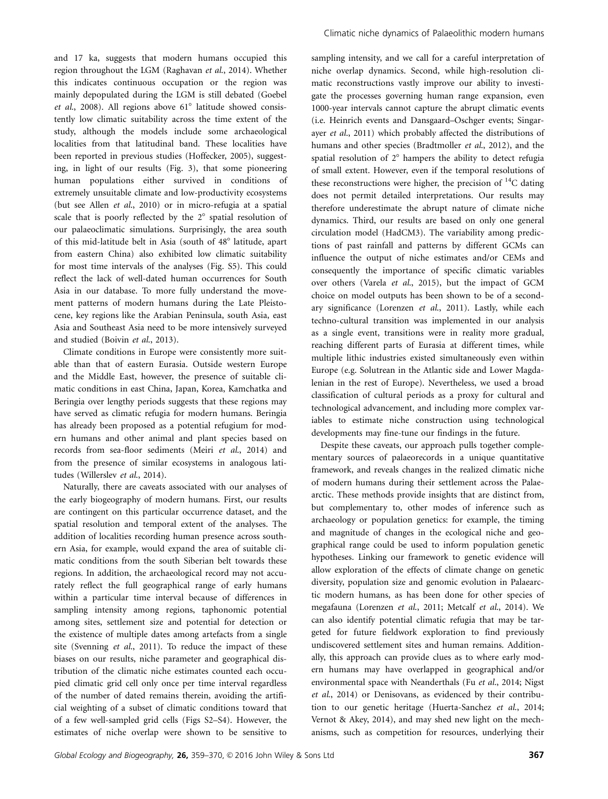and 17 ka, suggests that modern humans occupied this region throughout the LGM (Raghavan et al., 2014). Whether this indicates continuous occupation or the region was mainly depopulated during the LGM is still debated (Goebel et al., 2008). All regions above  $61^\circ$  latitude showed consistently low climatic suitability across the time extent of the study, although the models include some archaeological localities from that latitudinal band. These localities have been reported in previous studies (Hoffecker, 2005), suggesting, in light of our results (Fig. 3), that some pioneering human populations either survived in conditions of extremely unsuitable climate and low-productivity ecosystems (but see Allen et al., 2010) or in micro-refugia at a spatial scale that is poorly reflected by the  $2^\circ$  spatial resolution of our palaeoclimatic simulations. Surprisingly, the area south of this mid-latitude belt in Asia (south of 48° latitude, apart from eastern China) also exhibited low climatic suitability for most time intervals of the analyses (Fig. S5). This could reflect the lack of well-dated human occurrences for South Asia in our database. To more fully understand the movement patterns of modern humans during the Late Pleistocene, key regions like the Arabian Peninsula, south Asia, east Asia and Southeast Asia need to be more intensively surveyed and studied (Boivin et al., 2013).

Climate conditions in Europe were consistently more suitable than that of eastern Eurasia. Outside western Europe and the Middle East, however, the presence of suitable climatic conditions in east China, Japan, Korea, Kamchatka and Beringia over lengthy periods suggests that these regions may have served as climatic refugia for modern humans. Beringia has already been proposed as a potential refugium for modern humans and other animal and plant species based on records from sea-floor sediments (Meiri et al., 2014) and from the presence of similar ecosystems in analogous latitudes (Willerslev et al., 2014).

Naturally, there are caveats associated with our analyses of the early biogeography of modern humans. First, our results are contingent on this particular occurrence dataset, and the spatial resolution and temporal extent of the analyses. The addition of localities recording human presence across southern Asia, for example, would expand the area of suitable climatic conditions from the south Siberian belt towards these regions. In addition, the archaeological record may not accurately reflect the full geographical range of early humans within a particular time interval because of differences in sampling intensity among regions, taphonomic potential among sites, settlement size and potential for detection or the existence of multiple dates among artefacts from a single site (Svenning et al., 2011). To reduce the impact of these biases on our results, niche parameter and geographical distribution of the climatic niche estimates counted each occupied climatic grid cell only once per time interval regardless of the number of dated remains therein, avoiding the artificial weighting of a subset of climatic conditions toward that of a few well-sampled grid cells (Figs S2–S4). However, the estimates of niche overlap were shown to be sensitive to sampling intensity, and we call for a careful interpretation of niche overlap dynamics. Second, while high-resolution climatic reconstructions vastly improve our ability to investigate the processes governing human range expansion, even 1000-year intervals cannot capture the abrupt climatic events (i.e. Heinrich events and Dansgaard–Oschger events; Singarayer et al., 2011) which probably affected the distributions of humans and other species (Bradtmoller et al., 2012), and the spatial resolution of  $2^\circ$  hampers the ability to detect refugia of small extent. However, even if the temporal resolutions of these reconstructions were higher, the precision of  $^{14}$ C dating does not permit detailed interpretations. Our results may therefore underestimate the abrupt nature of climate niche dynamics. Third, our results are based on only one general circulation model (HadCM3). The variability among predictions of past rainfall and patterns by different GCMs can influence the output of niche estimates and/or CEMs and consequently the importance of specific climatic variables over others (Varela et al., 2015), but the impact of GCM choice on model outputs has been shown to be of a secondary significance (Lorenzen et al., 2011). Lastly, while each techno-cultural transition was implemented in our analysis as a single event, transitions were in reality more gradual, reaching different parts of Eurasia at different times, while multiple lithic industries existed simultaneously even within Europe (e.g. Solutrean in the Atlantic side and Lower Magdalenian in the rest of Europe). Nevertheless, we used a broad classification of cultural periods as a proxy for cultural and technological advancement, and including more complex variables to estimate niche construction using technological developments may fine-tune our findings in the future.

Despite these caveats, our approach pulls together complementary sources of palaeorecords in a unique quantitative framework, and reveals changes in the realized climatic niche of modern humans during their settlement across the Palaearctic. These methods provide insights that are distinct from, but complementary to, other modes of inference such as archaeology or population genetics: for example, the timing and magnitude of changes in the ecological niche and geographical range could be used to inform population genetic hypotheses. Linking our framework to genetic evidence will allow exploration of the effects of climate change on genetic diversity, population size and genomic evolution in Palaearctic modern humans, as has been done for other species of megafauna (Lorenzen et al., 2011; Metcalf et al., 2014). We can also identify potential climatic refugia that may be targeted for future fieldwork exploration to find previously undiscovered settlement sites and human remains. Additionally, this approach can provide clues as to where early modern humans may have overlapped in geographical and/or environmental space with Neanderthals (Fu et al., 2014; Nigst et al., 2014) or Denisovans, as evidenced by their contribution to our genetic heritage (Huerta-Sanchez et al., 2014; Vernot & Akey, 2014), and may shed new light on the mechanisms, such as competition for resources, underlying their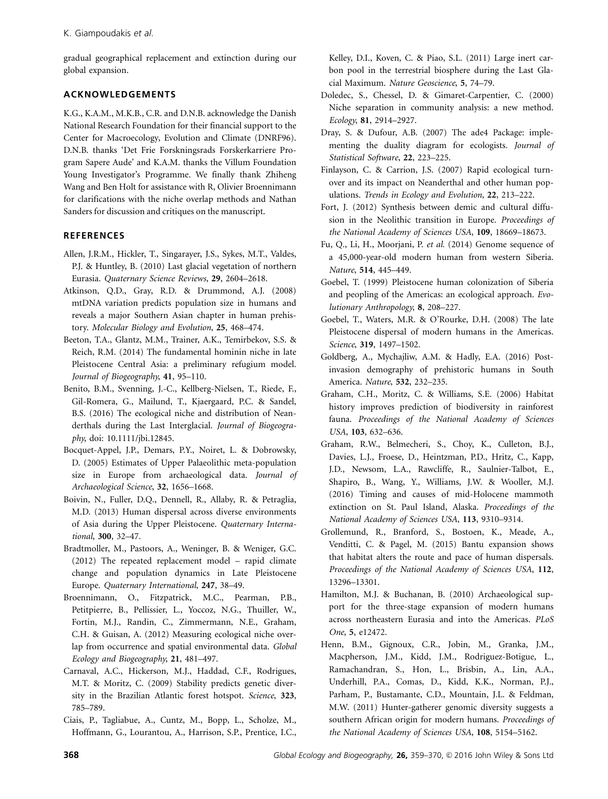gradual geographical replacement and extinction during our global expansion.

# ACKNOWLEDGEMENTS

K.G., K.A.M., M.K.B., C.R. and D.N.B. acknowledge the Danish National Research Foundation for their financial support to the Center for Macroecology, Evolution and Climate (DNRF96). D.N.B. thanks 'Det Frie Forskningsrads Forskerkarriere Program Sapere Aude' and K.A.M. thanks the Villum Foundation Young Investigator's Programme. We finally thank Zhiheng Wang and Ben Holt for assistance with R, Olivier Broennimann for clarifications with the niche overlap methods and Nathan Sanders for discussion and critiques on the manuscript.

# **REFERENCES**

- Allen, J.R.M., Hickler, T., Singarayer, J.S., Sykes, M.T., Valdes, P.J. & Huntley, B. (2010) Last glacial vegetation of northern Eurasia. Quaternary Science Reviews, 29, 2604–2618.
- Atkinson, Q.D., Gray, R.D. & Drummond, A.J. (2008) mtDNA variation predicts population size in humans and reveals a major Southern Asian chapter in human prehistory. Molecular Biology and Evolution, 25, 468–474.
- Beeton, T.A., Glantz, M.M., Trainer, A.K., Temirbekov, S.S. & Reich, R.M. (2014) The fundamental hominin niche in late Pleistocene Central Asia: a preliminary refugium model. Journal of Biogeography, 41, 95–110.
- Benito, B.M., Svenning, J.-C., Kellberg-Nielsen, T., Riede, F., Gil-Romera, G., Mailund, T., Kjaergaard, P.C. & Sandel, B.S. (2016) The ecological niche and distribution of Neanderthals during the Last Interglacial. Journal of Biogeography, doi: [10.1111/jbi.12845](info:10.1111/jbi.12845).
- Bocquet-Appel, J.P., Demars, P.Y., Noiret, L. & Dobrowsky, D. (2005) Estimates of Upper Palaeolithic meta-population size in Europe from archaeological data. Journal of Archaeological Science, 32, 1656–1668.
- Boivin, N., Fuller, D.Q., Dennell, R., Allaby, R. & Petraglia, M.D. (2013) Human dispersal across diverse environments of Asia during the Upper Pleistocene. Quaternary International, 300, 32–47.
- Bradtmoller, M., Pastoors, A., Weninger, B. & Weniger, G.C. (2012) The repeated replacement model – rapid climate change and population dynamics in Late Pleistocene Europe. Quaternary International, 247, 38–49.
- Broennimann, O., Fitzpatrick, M.C., Pearman, P.B., Petitpierre, B., Pellissier, L., Yoccoz, N.G., Thuiller, W., Fortin, M.J., Randin, C., Zimmermann, N.E., Graham, C.H. & Guisan, A. (2012) Measuring ecological niche overlap from occurrence and spatial environmental data. Global Ecology and Biogeography, 21, 481–497.
- Carnaval, A.C., Hickerson, M.J., Haddad, C.F., Rodrigues, M.T. & Moritz, C. (2009) Stability predicts genetic diversity in the Brazilian Atlantic forest hotspot. Science, 323, 785–789.
- Ciais, P., Tagliabue, A., Cuntz, M., Bopp, L., Scholze, M., Hoffmann, G., Lourantou, A., Harrison, S.P., Prentice, I.C.,

Kelley, D.I., Koven, C. & Piao, S.L. (2011) Large inert carbon pool in the terrestrial biosphere during the Last Glacial Maximum. Nature Geoscience, 5, 74–79.

- Doledec, S., Chessel, D. & Gimaret-Carpentier, C. (2000) Niche separation in community analysis: a new method. Ecology, 81, 2914–2927.
- Dray, S. & Dufour, A.B. (2007) The ade4 Package: implementing the duality diagram for ecologists. Journal of Statistical Software, 22, 223–225.
- Finlayson, C. & Carrion, J.S. (2007) Rapid ecological turnover and its impact on Neanderthal and other human populations. Trends in Ecology and Evolution, 22, 213–222.
- Fort, J. (2012) Synthesis between demic and cultural diffusion in the Neolithic transition in Europe. Proceedings of the National Academy of Sciences USA, 109, 18669–18673.
- Fu, Q., Li, H., Moorjani, P. et al. (2014) Genome sequence of a 45,000-year-old modern human from western Siberia. Nature, 514, 445–449.
- Goebel, T. (1999) Pleistocene human colonization of Siberia and peopling of the Americas: an ecological approach. Evolutionary Anthropology, 8, 208–227.
- Goebel, T., Waters, M.R. & O'Rourke, D.H. (2008) The late Pleistocene dispersal of modern humans in the Americas. Science, 319, 1497–1502.
- Goldberg, A., Mychajliw, A.M. & Hadly, E.A. (2016) Postinvasion demography of prehistoric humans in South America. Nature, 532, 232–235.
- Graham, C.H., Moritz, C. & Williams, S.E. (2006) Habitat history improves prediction of biodiversity in rainforest fauna. Proceedings of the National Academy of Sciences USA, 103, 632–636.
- Graham, R.W., Belmecheri, S., Choy, K., Culleton, B.J., Davies, L.J., Froese, D., Heintzman, P.D., Hritz, C., Kapp, J.D., Newsom, L.A., Rawcliffe, R., Saulnier-Talbot, E., Shapiro, B., Wang, Y., Williams, J.W. & Wooller, M.J. (2016) Timing and causes of mid-Holocene mammoth extinction on St. Paul Island, Alaska. Proceedings of the National Academy of Sciences USA, 113, 9310–9314.
- Grollemund, R., Branford, S., Bostoen, K., Meade, A., Venditti, C. & Pagel, M. (2015) Bantu expansion shows that habitat alters the route and pace of human dispersals. Proceedings of the National Academy of Sciences USA, 112, 13296–13301.
- Hamilton, M.J. & Buchanan, B. (2010) Archaeological support for the three-stage expansion of modern humans across northeastern Eurasia and into the Americas. PLoS One, 5, e12472.
- Henn, B.M., Gignoux, C.R., Jobin, M., Granka, J.M., Macpherson, J.M., Kidd, J.M., Rodriguez-Botigue, L., Ramachandran, S., Hon, L., Brisbin, A., Lin, A.A., Underhill, P.A., Comas, D., Kidd, K.K., Norman, P.J., Parham, P., Bustamante, C.D., Mountain, J.L. & Feldman, M.W. (2011) Hunter-gatherer genomic diversity suggests a southern African origin for modern humans. Proceedings of the National Academy of Sciences USA, 108, 5154–5162.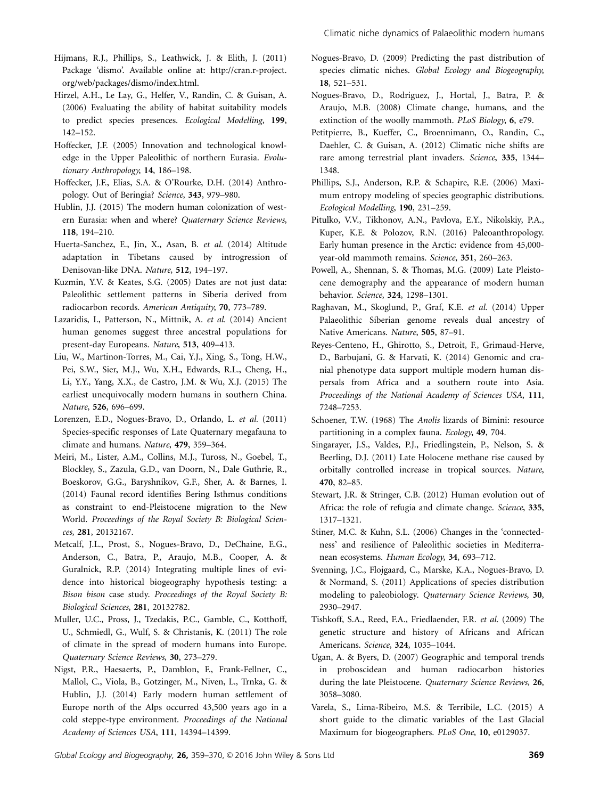- Hijmans, R.J., Phillips, S., Leathwick, J. & Elith, J. (2011) Package 'dismo'. Available online at: [http://cran.r-project.](http://cran.r-project.org/web/packages/dismo/index.html.) [org/web/packages/dismo/index.html.](http://cran.r-project.org/web/packages/dismo/index.html.)
- Hirzel, A.H., Le Lay, G., Helfer, V., Randin, C. & Guisan, A. (2006) Evaluating the ability of habitat suitability models to predict species presences. Ecological Modelling, 199, 142–152.
- Hoffecker, J.F. (2005) Innovation and technological knowledge in the Upper Paleolithic of northern Eurasia. Evolutionary Anthropology, 14, 186–198.
- Hoffecker, J.F., Elias, S.A. & O'Rourke, D.H. (2014) Anthropology. Out of Beringia? Science, 343, 979–980.
- Hublin, J.J. (2015) The modern human colonization of western Eurasia: when and where? Quaternary Science Reviews, 118, 194–210.
- Huerta-Sanchez, E., Jin, X., Asan, B. et al. (2014) Altitude adaptation in Tibetans caused by introgression of Denisovan-like DNA. Nature, 512, 194–197.
- Kuzmin, Y.V. & Keates, S.G. (2005) Dates are not just data: Paleolithic settlement patterns in Siberia derived from radiocarbon records. American Antiquity, 70, 773–789.
- Lazaridis, I., Patterson, N., Mittnik, A. et al. (2014) Ancient human genomes suggest three ancestral populations for present-day Europeans. Nature, 513, 409–413.
- Liu, W., Martinon-Torres, M., Cai, Y.J., Xing, S., Tong, H.W., Pei, S.W., Sier, M.J., Wu, X.H., Edwards, R.L., Cheng, H., Li, Y.Y., Yang, X.X., de Castro, J.M. & Wu, X.J. (2015) The earliest unequivocally modern humans in southern China. Nature, 526, 696–699.
- Lorenzen, E.D., Nogues-Bravo, D., Orlando, L. et al. (2011) Species-specific responses of Late Quaternary megafauna to climate and humans. Nature, 479, 359–364.
- Meiri, M., Lister, A.M., Collins, M.J., Tuross, N., Goebel, T., Blockley, S., Zazula, G.D., van Doorn, N., Dale Guthrie, R., Boeskorov, G.G., Baryshnikov, G.F., Sher, A. & Barnes, I. (2014) Faunal record identifies Bering Isthmus conditions as constraint to end-Pleistocene migration to the New World. Proceedings of the Royal Society B: Biological Sciences, 281, 20132167.
- Metcalf, J.L., Prost, S., Nogues-Bravo, D., DeChaine, E.G., Anderson, C., Batra, P., Araujo, M.B., Cooper, A. & Guralnick, R.P. (2014) Integrating multiple lines of evidence into historical biogeography hypothesis testing: a Bison bison case study. Proceedings of the Royal Society B: Biological Sciences, 281, 20132782.
- Muller, U.C., Pross, J., Tzedakis, P.C., Gamble, C., Kotthoff, U., Schmiedl, G., Wulf, S. & Christanis, K. (2011) The role of climate in the spread of modern humans into Europe. Quaternary Science Reviews, 30, 273–279.
- Nigst, P.R., Haesaerts, P., Damblon, F., Frank-Fellner, C., Mallol, C., Viola, B., Gotzinger, M., Niven, L., Trnka, G. & Hublin, J.J. (2014) Early modern human settlement of Europe north of the Alps occurred 43,500 years ago in a cold steppe-type environment. Proceedings of the National Academy of Sciences USA, 111, 14394–14399.
- Nogues-Bravo, D. (2009) Predicting the past distribution of species climatic niches. Global Ecology and Biogeography, 18, 521–531.
- Nogues-Bravo, D., Rodriguez, J., Hortal, J., Batra, P. & Araujo, M.B. (2008) Climate change, humans, and the extinction of the woolly mammoth. PLoS Biology, 6, e79.
- Petitpierre, B., Kueffer, C., Broennimann, O., Randin, C., Daehler, C. & Guisan, A. (2012) Climatic niche shifts are rare among terrestrial plant invaders. Science, 335, 1344– 1348.
- Phillips, S.J., Anderson, R.P. & Schapire, R.E. (2006) Maximum entropy modeling of species geographic distributions. Ecological Modelling, 190, 231–259.
- Pitulko, V.V., Tikhonov, A.N., Pavlova, E.Y., Nikolskiy, P.A., Kuper, K.E. & Polozov, R.N. (2016) Paleoanthropology. Early human presence in the Arctic: evidence from 45,000 year-old mammoth remains. Science, 351, 260–263.
- Powell, A., Shennan, S. & Thomas, M.G. (2009) Late Pleistocene demography and the appearance of modern human behavior. Science, 324, 1298–1301.
- Raghavan, M., Skoglund, P., Graf, K.E. et al. (2014) Upper Palaeolithic Siberian genome reveals dual ancestry of Native Americans. Nature, 505, 87–91.
- Reyes-Centeno, H., Ghirotto, S., Detroit, F., Grimaud-Herve, D., Barbujani, G. & Harvati, K. (2014) Genomic and cranial phenotype data support multiple modern human dispersals from Africa and a southern route into Asia. Proceedings of the National Academy of Sciences USA, 111, 7248–7253.
- Schoener, T.W. (1968) The Anolis lizards of Bimini: resource partitioning in a complex fauna. Ecology, 49, 704.
- Singarayer, J.S., Valdes, P.J., Friedlingstein, P., Nelson, S. & Beerling, D.J. (2011) Late Holocene methane rise caused by orbitally controlled increase in tropical sources. Nature, 470, 82–85.
- Stewart, J.R. & Stringer, C.B. (2012) Human evolution out of Africa: the role of refugia and climate change. Science, 335, 1317–1321.
- Stiner, M.C. & Kuhn, S.L. (2006) Changes in the 'connectedness' and resilience of Paleolithic societies in Mediterranean ecosystems. Human Ecology, 34, 693–712.
- Svenning, J.C., Flojgaard, C., Marske, K.A., Nogues-Bravo, D. & Normand, S. (2011) Applications of species distribution modeling to paleobiology. Quaternary Science Reviews, 30, 2930–2947.
- Tishkoff, S.A., Reed, F.A., Friedlaender, F.R. et al. (2009) The genetic structure and history of Africans and African Americans. Science, 324, 1035–1044.
- Ugan, A. & Byers, D. (2007) Geographic and temporal trends in proboscidean and human radiocarbon histories during the late Pleistocene. Quaternary Science Reviews, 26, 3058–3080.
- Varela, S., Lima-Ribeiro, M.S. & Terribile, L.C. (2015) A short guide to the climatic variables of the Last Glacial Maximum for biogeographers. PLoS One, 10, e0129037.